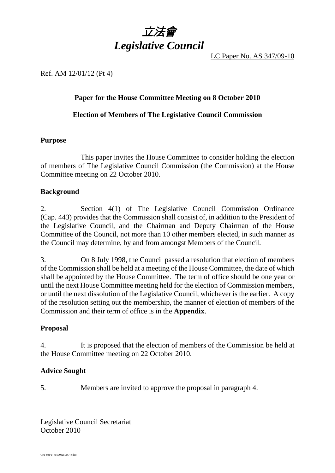

LC Paper No. AS 347/09-10

### Ref. AM 12/01/12 (Pt 4)

## **Paper for the House Committee Meeting on 8 October 2010**

#### **Election of Members of The Legislative Council Commission**

#### **Purpose**

 This paper invites the House Committee to consider holding the election of members of The Legislative Council Commission (the Commission) at the House Committee meeting on 22 October 2010.

#### **Background**

2. Section 4(1) of The Legislative Council Commission Ordinance (Cap. 443) provides that the Commission shall consist of, in addition to the President of the Legislative Council, and the Chairman and Deputy Chairman of the House Committee of the Council, not more than 10 other members elected, in such manner as the Council may determine, by and from amongst Members of the Council.

3. On 8 July 1998, the Council passed a resolution that election of members of the Commission shall be held at a meeting of the House Committee, the date of which shall be appointed by the House Committee. The term of office should be one year or until the next House Committee meeting held for the election of Commission members, or until the next dissolution of the Legislative Council, whichever is the earlier. A copy of the resolution setting out the membership, the manner of election of members of the Commission and their term of office is in the **Appendix**.

#### **Proposal**

4. It is proposed that the election of members of the Commission be held at the House Committee meeting on 22 October 2010.

#### **Advice Sought**

5. Members are invited to approve the proposal in paragraph 4.

Legislative Council Secretariat October 2010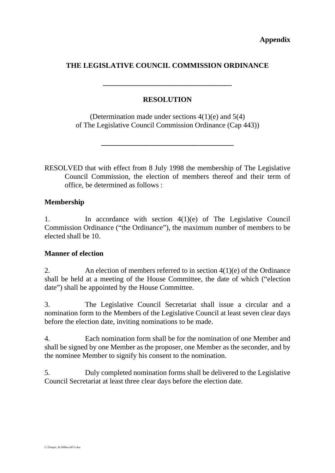## **THE LEGISLATIVE COUNCIL COMMISSION ORDINANCE**

## **RESOLUTION**

**\_\_\_\_\_\_\_\_\_\_\_\_\_\_\_\_\_\_\_\_\_\_\_\_\_\_\_\_\_\_\_\_\_\_\_** 

(Determination made under sections 4(1)(e) and 5(4) of The Legislative Council Commission Ordinance (Cap 443))

**\_\_\_\_\_\_\_\_\_\_\_\_\_\_\_\_\_\_\_\_\_\_\_\_\_\_\_\_\_\_\_\_\_\_\_\_** 

RESOLVED that with effect from 8 July 1998 the membership of The Legislative Council Commission, the election of members thereof and their term of office, be determined as follows :

## **Membership**

1. In accordance with section 4(1)(e) of The Legislative Council Commission Ordinance ("the Ordinance"), the maximum number of members to be elected shall be 10.

## **Manner of election**

2. An election of members referred to in section 4(1)(e) of the Ordinance shall be held at a meeting of the House Committee, the date of which ("election date") shall be appointed by the House Committee.

3. The Legislative Council Secretariat shall issue a circular and a nomination form to the Members of the Legislative Council at least seven clear days before the election date, inviting nominations to be made.

4. Each nomination form shall be for the nomination of one Member and shall be signed by one Member as the proposer, one Member as the seconder, and by the nominee Member to signify his consent to the nomination.

5. Duly completed nomination forms shall be delivered to the Legislative Council Secretariat at least three clear days before the election date.